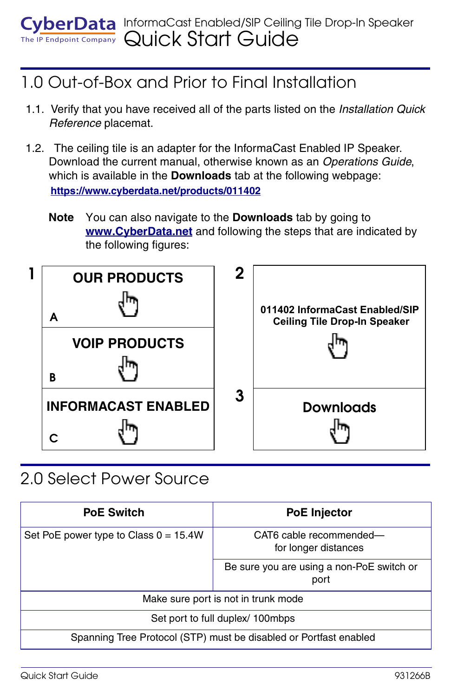# 1.0 Out-of-Box and Prior to Final Installation

- 1.1. Verify that you have received all of the parts listed on the *Installation Quick Reference* placemat.
- 1.2. The ceiling tile is an adapter for the InformaCast Enabled IP Speaker. Download the current manual, otherwise known as an *Operations Guide*, which is available in the **Downloads** tab at the following webpage: **<https://www.cyberdata.net/products/011402>**
	- **Note** You can also navigate to the **Downloads** tab by going to **<www.CyberData.net>** and following the steps that are indicated by the following figures:



### 2.0 Select Power Source

| <b>PoE Switch</b>                                                 | <b>PoE Injector</b>                               |
|-------------------------------------------------------------------|---------------------------------------------------|
| Set PoE power type to Class $0 = 15.4W$                           | CAT6 cable recommended-<br>for longer distances   |
|                                                                   | Be sure you are using a non-PoE switch or<br>port |
| Make sure port is not in trunk mode                               |                                                   |
| Set port to full duplex/ 100mbps                                  |                                                   |
| Spanning Tree Protocol (STP) must be disabled or Portfast enabled |                                                   |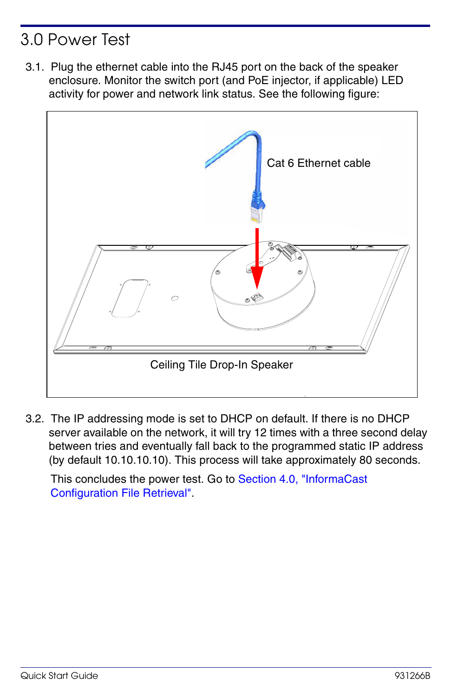## 3.0 Power Test

3.1. Plug the ethernet cable into the RJ45 port on the back of the speaker enclosure. Monitor the switch port (and PoE injector, if applicable) LED activity for power and network link status. See the following figure:



3.2. The IP addressing mode is set to DHCP on default. If there is no DHCP server available on the network, it will try 12 times with a three second delay between tries and eventually fall back to the programmed static IP address (by default 10.10.10.10). This process will take approximately 80 seconds.

This concludes the power test. Go to [Section 4.0, "InformaCast](#page-2-0)  [Configuration File Retrieval"](#page-2-0).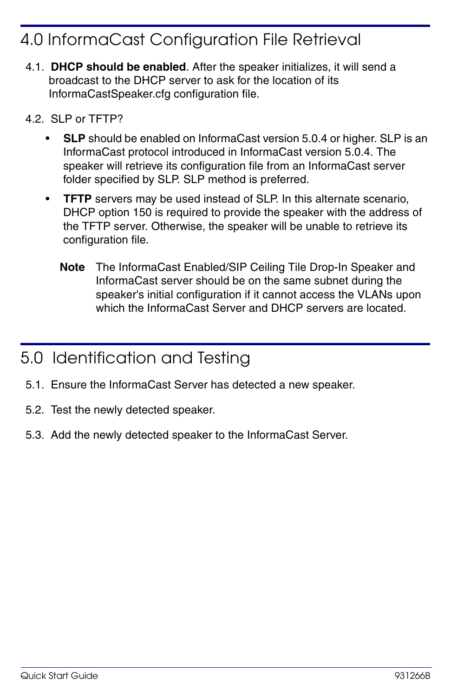### <span id="page-2-0"></span>4.0 InformaCast Configuration File Retrieval

- 4.1. **DHCP should be enabled**. After the speaker initializes, it will send a broadcast to the DHCP server to ask for the location of its InformaCastSpeaker.cfg configuration file.
- 4.2. SLP or TFTP?
	- **SLP** should be enabled on InformaCast version 5.0.4 or higher. SLP is an InformaCast protocol introduced in InformaCast version 5.0.4. The speaker will retrieve its configuration file from an InformaCast server folder specified by SLP. SLP method is preferred.
	- **TFTP** servers may be used instead of SLP. In this alternate scenario, DHCP option 150 is required to provide the speaker with the address of the TFTP server. Otherwise, the speaker will be unable to retrieve its configuration file.
		- **Note** The InformaCast Enabled/SIP Ceiling Tile Drop-In Speaker and InformaCast server should be on the same subnet during the speaker's initial configuration if it cannot access the VLANs upon which the InformaCast Server and DHCP servers are located.

#### 5.0 Identification and Testing

- 5.1. Ensure the InformaCast Server has detected a new speaker.
- 5.2. Test the newly detected speaker.
- 5.3. Add the newly detected speaker to the InformaCast Server.